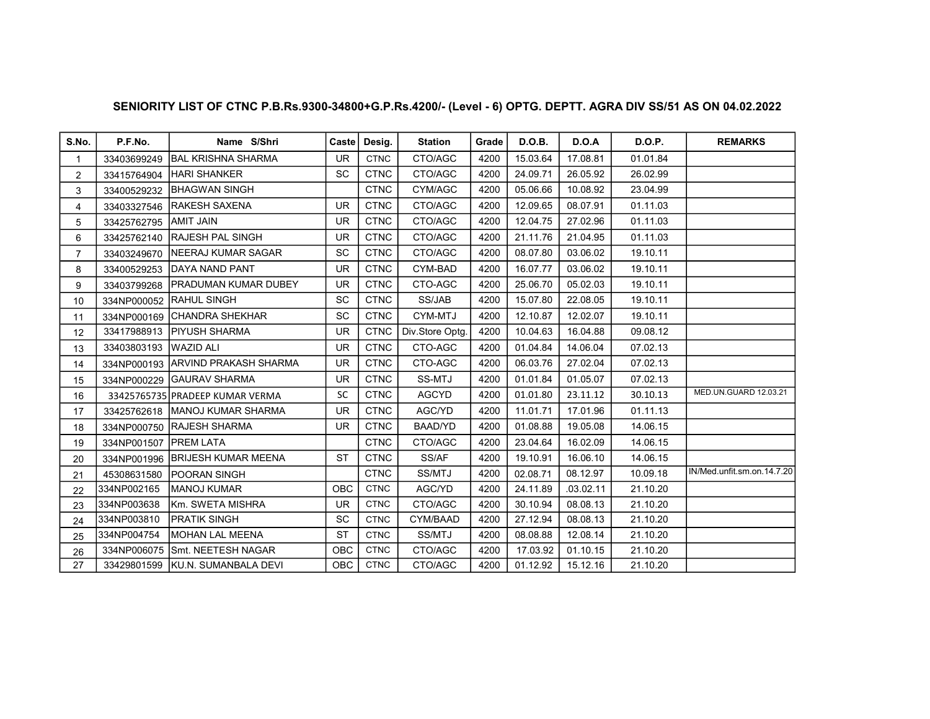| S.No.          | P.F.No.                 | Name S/Shri                       | Caste      | Desig.      | <b>Station</b>  | Grade | <b>D.O.B.</b> | D.O.A     | <b>D.O.P.</b> | <b>REMARKS</b>             |
|----------------|-------------------------|-----------------------------------|------------|-------------|-----------------|-------|---------------|-----------|---------------|----------------------------|
| $\mathbf{1}$   | 33403699249             | <b>BAL KRISHNA SHARMA</b>         | <b>UR</b>  | <b>CTNC</b> | CTO/AGC         | 4200  | 15.03.64      | 17.08.81  | 01.01.84      |                            |
| $\overline{2}$ | 33415764904             | IHARI SHANKER                     | <b>SC</b>  | <b>CTNC</b> | CTO/AGC         | 4200  | 24.09.71      | 26.05.92  | 26.02.99      |                            |
| 3              | 33400529232             | <b>IBHAGWAN SINGH</b>             |            | <b>CTNC</b> | CYM/AGC         | 4200  | 05.06.66      | 10.08.92  | 23.04.99      |                            |
| 4              | 33403327546             | <b>RAKESH SAXENA</b>              | <b>UR</b>  | <b>CTNC</b> | CTO/AGC         | 4200  | 12.09.65      | 08.07.91  | 01.11.03      |                            |
| 5              | 33425762795             | <b>JAMIT JAIN</b>                 | <b>UR</b>  | <b>CTNC</b> | CTO/AGC         | 4200  | 12.04.75      | 27.02.96  | 01.11.03      |                            |
| 6              | 33425762140             | <b>IRAJESH PAL SINGH</b>          | <b>UR</b>  | <b>CTNC</b> | CTO/AGC         | 4200  | 21.11.76      | 21.04.95  | 01.11.03      |                            |
| $\overline{7}$ | 33403249670             | <b>INEERAJ KUMAR SAGAR</b>        | <b>SC</b>  | <b>CTNC</b> | CTO/AGC         | 4200  | 08.07.80      | 03.06.02  | 19.10.11      |                            |
| 8              | 33400529253             | DAYA NAND PANT                    | <b>UR</b>  | <b>CTNC</b> | CYM-BAD         | 4200  | 16.07.77      | 03.06.02  | 19.10.11      |                            |
| 9              | 33403799268             | <b>IPRADUMAN KUMAR DUBEY</b>      | <b>UR</b>  | <b>CTNC</b> | CTO-AGC         | 4200  | 25.06.70      | 05.02.03  | 19.10.11      |                            |
| 10             |                         | 334NP000052 RAHUL SINGH           | <b>SC</b>  | <b>CTNC</b> | SS/JAB          | 4200  | 15.07.80      | 22.08.05  | 19.10.11      |                            |
| 11             |                         | 334NP000169 CHANDRA SHEKHAR       | <b>SC</b>  | <b>CTNC</b> | CYM-MTJ         | 4200  | 12.10.87      | 12.02.07  | 19.10.11      |                            |
| 12             | 33417988913             | IPIYUSH SHARMA                    | <b>UR</b>  | <b>CTNC</b> | Div.Store Optg. | 4200  | 10.04.63      | 16.04.88  | 09.08.12      |                            |
| 13             | 33403803193 WAZID ALI   |                                   | <b>UR</b>  | <b>CTNC</b> | CTO-AGC         | 4200  | 01.04.84      | 14.06.04  | 07.02.13      |                            |
| 14             |                         | 334NP000193 ARVIND PRAKASH SHARMA | <b>UR</b>  | <b>CTNC</b> | CTO-AGC         | 4200  | 06.03.76      | 27.02.04  | 07.02.13      |                            |
| 15             | 334NP000229             | <b>IGAURAV SHARMA</b>             | <b>UR</b>  | <b>CTNC</b> | SS-MTJ          | 4200  | 01.01.84      | 01.05.07  | 07.02.13      |                            |
| 16             |                         | 33425765735 PRADEEP KUMAR VERMA   | <b>SC</b>  | <b>CTNC</b> | <b>AGCYD</b>    | 4200  | 01.01.80      | 23.11.12  | 30.10.13      | MED.UN.GUARD 12.03.21      |
| 17             |                         | 33425762618   MANOJ KUMAR SHARMA  | <b>UR</b>  | <b>CTNC</b> | AGC/YD          | 4200  | 11.01.71      | 17.01.96  | 01.11.13      |                            |
| 18             |                         | 334NP000750 RAJESH SHARMA         | <b>UR</b>  | <b>CTNC</b> | BAAD/YD         | 4200  | 01.08.88      | 19.05.08  | 14.06.15      |                            |
| 19             | 334NP001507   PREM LATA |                                   |            | <b>CTNC</b> | CTO/AGC         | 4200  | 23.04.64      | 16.02.09  | 14.06.15      |                            |
| 20             | 334NP001996             | <b>IBRIJESH KUMAR MEENA</b>       | <b>ST</b>  | <b>CTNC</b> | SS/AF           | 4200  | 19.10.91      | 16.06.10  | 14.06.15      |                            |
| 21             | 45308631580             | <b>POORAN SINGH</b>               |            | <b>CTNC</b> | SS/MTJ          | 4200  | 02.08.71      | 08.12.97  | 10.09.18      | IN/Med.unfit.sm.on.14.7.20 |
| 22             | 334NP002165             | <b>IMANOJ KUMAR</b>               | OBC        | <b>CTNC</b> | AGC/YD          | 4200  | 24.11.89      | .03.02.11 | 21.10.20      |                            |
| 23             | 334NP003638             | Km. SWETA MISHRA                  | <b>UR</b>  | <b>CTNC</b> | CTO/AGC         | 4200  | 30.10.94      | 08.08.13  | 21.10.20      |                            |
| 24             | 334NP003810             | IPRATIK SINGH                     | <b>SC</b>  | <b>CTNC</b> | CYM/BAAD        | 4200  | 27.12.94      | 08.08.13  | 21.10.20      |                            |
| 25             | 334NP004754             | <b>IMOHAN LAL MEENA</b>           | <b>ST</b>  | <b>CTNC</b> | SS/MTJ          | 4200  | 08.08.88      | 12.08.14  | 21.10.20      |                            |
| 26             | 334NP006075             | ISmt. NEETESH NAGAR               | <b>OBC</b> | <b>CTNC</b> | CTO/AGC         | 4200  | 17.03.92      | 01.10.15  | 21.10.20      |                            |
| 27             |                         | 33429801599 KU.N. SUMANBALA DEVI  | OBC        | <b>CTNC</b> | CTO/AGC         | 4200  | 01.12.92      | 15.12.16  | 21.10.20      |                            |

## SENIORITY LIST OF CTNC P.B.Rs.9300-34800+G.P.Rs.4200/- (Level - 6) OPTG. DEPTT. AGRA DIV SS/51 AS ON 04.02.2022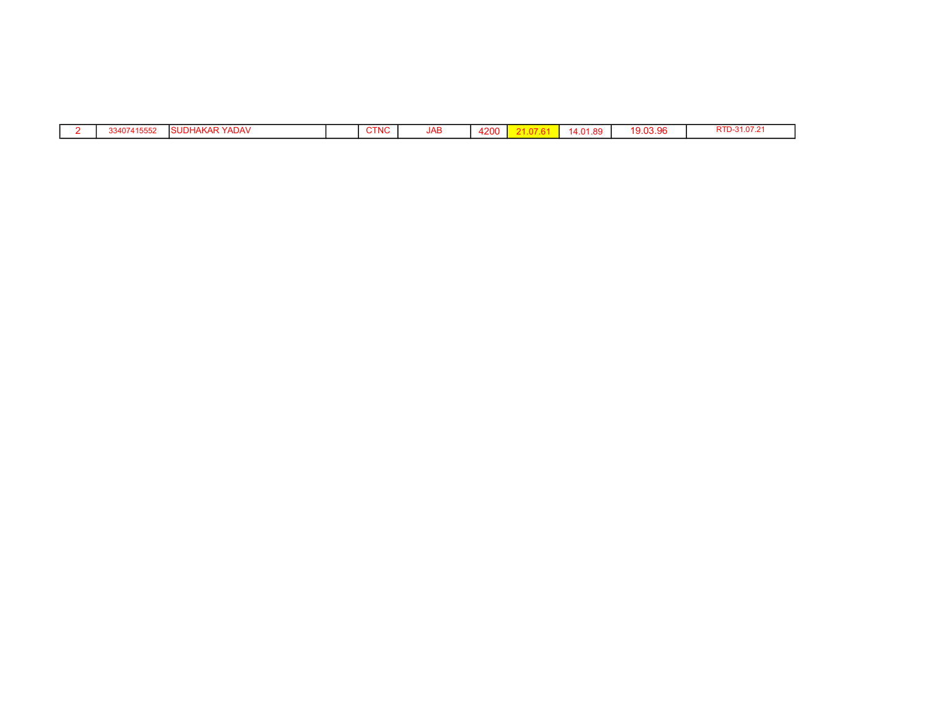|  | 33407<br>2כככו 4′ | .<br>. YADAV<br>ANAR | <b>CTNC</b> | <b>JAB</b> | 4200<br>+∠∪∪ | 14.01.89 | 9.03.96<br>10. | RTD-31.07.2 |
|--|-------------------|----------------------|-------------|------------|--------------|----------|----------------|-------------|
|  |                   |                      |             |            |              |          |                |             |